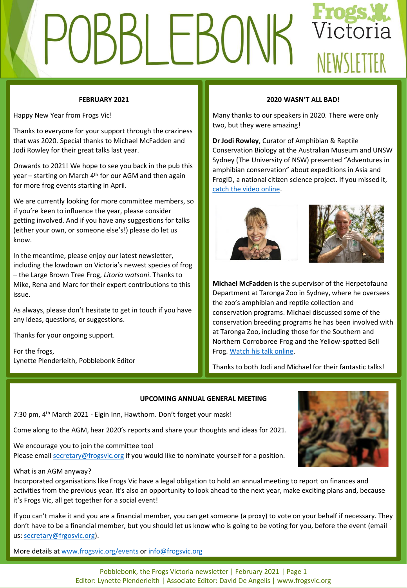# Victoria LEBU NEWSLETTER

# **FEBRUARY 2021**

Happy New Year from Frogs Vic!

Thanks to everyone for your support through the craziness that was 2020. Special thanks to Michael McFadden and Jodi Rowley for their great talks last year.

Onwards to 2021! We hope to see you back in the pub this year – starting on March 4<sup>th</sup> for our AGM and then again for more frog events starting in April.

We are currently looking for more committee members, so if you're keen to influence the year, please consider getting involved. And if you have any suggestions for talks (either your own, or someone else's!) please do let us know.

In the meantime, please enjoy our latest newsletter, including the lowdown on Victoria's newest species of frog – the Large Brown Tree Frog, *Litoria watsoni*. Thanks to Mike, Rena and Marc for their expert contributions to this issue.

As always, please don't hesitate to get in touch if you have any ideas, questions, or suggestions.

Thanks for your ongoing support.

For the frogs, Lynette Plenderleith, Pobblebonk Editor

# **2020 WASN'T ALL BAD!**

Many thanks to our speakers in 2020. There were only two, but they were amazing!

**Dr Jodi Rowley**, Curator of Amphibian & Reptile Conservation Biology at the Australian Museum and UNSW Sydney (The University of NSW) presented "Adventures in amphibian conservation" about expeditions in Asia and FrogID, a national citizen science project. If you missed it, [catch the video online.](https://www.youtube.com/watch?v=-kNr0KjMqwE&t=194s)





**Michael McFadden** is the supervisor of the Herpetofauna Department at Taronga Zoo in Sydney, where he oversees the zoo's amphibian and reptile collection and conservation programs. Michael discussed some of the conservation breeding programs he has been involved with at Taronga Zoo, including those for the Southern and Northern Corroboree Frog and the Yellow-spotted Bell Frog. [Watch his talk online.](https://www.youtube.com/watch?v=MKGQC3IHwGs&t=2115s)

Thanks to both Jodi and Michael for their fantastic talks!

## **UPCOMING ANNUAL GENERAL MEETING**

7:30 pm, 4<sup>th</sup> March 2021 - Elgin Inn, Hawthorn. Don't forget your mask!

Come along to the AGM, hear 2020's reports and share your thoughts and ideas for 2021.

We encourage you to join the committee too! Please email [secretary@frogsvic.org](mailto:secretary@frogsvic.org) if you would like to nominate yourself for a position.

## What is an AGM anyway?

Incorporated organisations like Frogs Vic have a legal obligation to hold an annual meeting to report on finances and activities from the previous year. It's also an opportunity to look ahead to the next year, make exciting plans and, because it's Frogs Vic, all get together for a social event!

If you can't make it and you are a financial member, you can get someone (a proxy) to vote on your behalf if necessary. They don't have to be a financial member, but you should let us know who is going to be voting for you, before the event (email us: [secretary@frgosvic.org\)](mailto:secretary@frgosvic.org).

More details at [www.frogsvic.org/events](http://www.frogsvic.org/events) or [info@frogsvic.org](mailto:info@frogsvic.org)

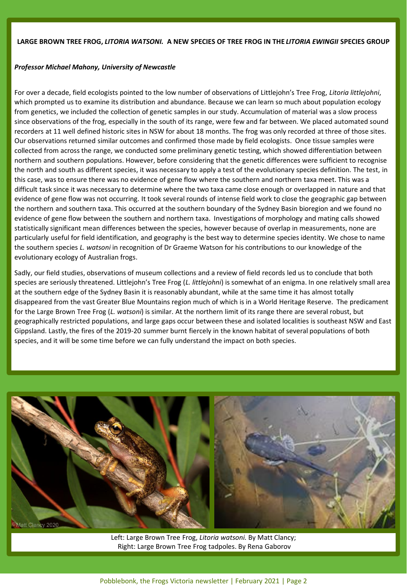# **LARGE BROWN TREE FROG,** *LITORIA WATSONI.* **A NEW SPECIES OF TREE FROG IN THE** *LITORIA EWINGII* **SPECIES GROUP**

## *Professor Michael Mahony, University of Newcastle*

For over a decade, field ecologists pointed to the low number of observations of Littlejohn's Tree Frog, *Litoria littlejohni*, which prompted us to examine its distribution and abundance. Because we can learn so much about population ecology from genetics, we included the collection of genetic samples in our study. Accumulation of material was a slow process since observations of the frog, especially in the south of its range, were few and far between. We placed automated sound recorders at 11 well defined historic sites in NSW for about 18 months. The frog was only recorded at three of those sites. Our observations returned similar outcomes and confirmed those made by field ecologists. Once tissue samples were collected from across the range, we conducted some preliminary genetic testing, which showed differentiation between northern and southern populations. However, before considering that the genetic differences were sufficient to recognise the north and south as different species, it was necessary to apply a test of the evolutionary species definition. The test, in this case, was to ensure there was no evidence of gene flow where the southern and northern taxa meet. This was a difficult task since it was necessary to determine where the two taxa came close enough or overlapped in nature and that evidence of gene flow was not occurring. It took several rounds of intense field work to close the geographic gap between the northern and southern taxa. This occurred at the southern boundary of the Sydney Basin bioregion and we found no evidence of gene flow between the southern and northern taxa. Investigations of morphology and mating calls showed statistically significant mean differences between the species, however because of overlap in measurements, none are particularly useful for field identification, and geography is the best way to determine species identity. We chose to name the southern species *L. watsoni* in recognition of Dr Graeme Watson for his contributions to our knowledge of the evolutionary ecology of Australian frogs.

Sadly, our field studies, observations of museum collections and a review of field records led us to conclude that both species are seriously threatened. Littlejohn's Tree Frog (*L. littlejohni*) is somewhat of an enigma. In one relatively small area at the southern edge of the Sydney Basin it is reasonably abundant, while at the same time it has almost totally disappeared from the vast Greater Blue Mountains region much of which is in a World Heritage Reserve. The predicament for the Large Brown Tree Frog (*L. watsoni*) is similar. At the northern limit of its range there are several robust, but geographically restricted populations, and large gaps occur between these and isolated localities is southeast NSW and East Gippsland. Lastly, the fires of the 2019-20 summer burnt fiercely in the known habitat of several populations of both species, and it will be some time before we can fully understand the impact on both species.



Left: Large Brown Tree Frog, *Litoria watsoni.* By Matt Clancy; Right: Large Brown Tree Frog tadpoles. By Rena Gaborov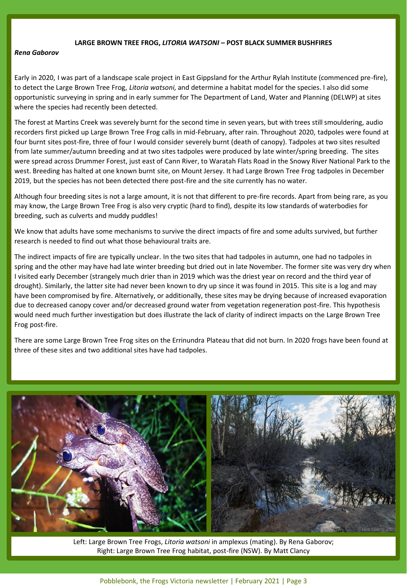#### **LARGE BROWN TREE FROG,** *LITORIA WATSONI* **– POST BLACK SUMMER BUSHFIRES**

#### *Rena Gaborov*

Early in 2020, I was part of a landscape scale project in East Gippsland for the Arthur Rylah Institute (commenced pre-fire), to detect the Large Brown Tree Frog, *Litoria watsoni,* and determine a habitat model for the species. I also did some opportunistic surveying in spring and in early summer for The Department of Land, Water and Planning (DELWP) at sites where the species had recently been detected.

The forest at Martins Creek was severely burnt for the second time in seven years, but with trees still smouldering, audio recorders first picked up Large Brown Tree Frog calls in mid-February, after rain. Throughout 2020, tadpoles were found at four burnt sites post-fire, three of four I would consider severely burnt (death of canopy). Tadpoles at two sites resulted from late summer/autumn breeding and at two sites tadpoles were produced by late winter/spring breeding. The sites were spread across Drummer Forest, just east of Cann River, to Waratah Flats Road in the Snowy River National Park to the west. Breeding has halted at one known burnt site, on Mount Jersey. It had Large Brown Tree Frog tadpoles in December 2019, but the species has not been detected there post-fire and the site currently has no water.

Although four breeding sites is not a large amount, it is not that different to pre-fire records. Apart from being rare, as you may know, the Large Brown Tree Frog is also very cryptic (hard to find), despite its low standards of waterbodies for breeding, such as culverts and muddy puddles!

We know that adults have some mechanisms to survive the direct impacts of fire and some adults survived, but further research is needed to find out what those behavioural traits are.

The indirect impacts of fire are typically unclear. In the two sites that had tadpoles in autumn, one had no tadpoles in spring and the other may have had late winter breeding but dried out in late November. The former site was very dry when I visited early December (strangely much drier than in 2019 which was the driest year on record and the third year of drought). Similarly, the latter site had never been known to dry up since it was found in 2015. This site is a log and may have been compromised by fire. Alternatively, or additionally, these sites may be drying because of increased evaporation due to decreased canopy cover and/or decreased ground water from vegetation regeneration post-fire. This hypothesis would need much further investigation but does illustrate the lack of clarity of indirect impacts on the Large Brown Tree Frog post-fire.

There are some Large Brown Tree Frog sites on the Errinundra Plateau that did not burn. In 2020 frogs have been found at three of these sites and two additional sites have had tadpoles.



Left: Large Brown Tree Frogs, *Litoria watsoni* in amplexus (mating). By Rena Gaborov; Right: Large Brown Tree Frog habitat, post-fire (NSW). By Matt Clancy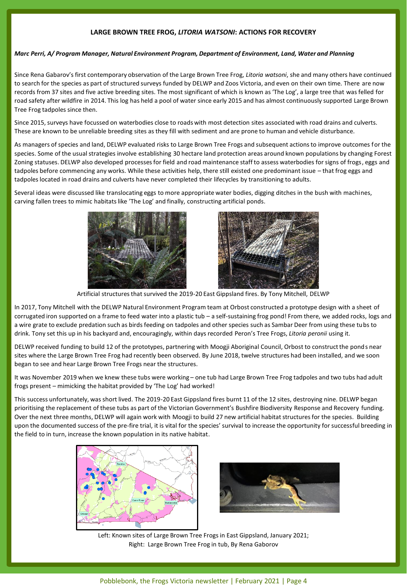# **LARGE BROWN TREE FROG,** *LITORIA WATSONI***: ACTIONS FOR RECOVERY**

#### *Marc Perri, A/ Program Manager, Natural Environment Program, Department of Environment, Land, Water and Planning*

Since Rena Gabarov's first contemporary observation of the Large Brown Tree Frog, *Litoria watsoni*, she and many others have continued to search for the species as part of structured surveys funded by DELWP and Zoos Victoria, and even on their own time. There are now records from 37 sites and five active breeding sites. The most significant of which is known as 'The Log', a large tree that was felled for road safety after wildfire in 2014. This log has held a pool of water since early 2015 and has almost continuously supported Large Brown Tree Frog tadpoles since then.

Since 2015, surveys have focussed on waterbodies close to roads with most detection sites associated with road drains and culverts. These are known to be unreliable breeding sites as they fill with sediment and are prone to human and vehicle disturbance.

As managers of species and land, DELWP evaluated risks to Large Brown Tree Frogs and subsequent actions to improve outcomes for the species. Some of the usual strategies involve establishing 30 hectare land protection areas around known populations by changing Forest Zoning statuses. DELWP also developed processes for field and road maintenance staff to assess waterbodies for signs of frogs, eggs and tadpoles before commencing any works. While these activities help, there still existed one predominant issue – that frog eggs and tadpoles located in road drains and culverts have never completed their lifecycles by transitioning to adults.

Several ideas were discussed like translocating eggs to more appropriate water bodies, digging ditches in the bush with machines, carving fallen trees to mimic habitats like 'The Log' and finally, constructing artificial ponds.





Artificial structures that survived the 2019-20 East Gippsland fires. By Tony Mitchell, DELWP

In 2017, Tony Mitchell with the DELWP Natural Environment Program team at Orbost constructed a prototype design with a sheet of corrugated iron supported on a frame to feed water into a plastic tub – a self-sustaining frog pond! From there, we added rocks, logs and a wire grate to exclude predation such as birds feeding on tadpoles and other species such as Sambar Deer from using these tubs to drink. Tony set this up in his backyard and, encouragingly, within days recorded Peron's Tree Frogs, *Litoria peronii* using it.

DELWP received funding to build 12 of the prototypes, partnering with Moogji Aboriginal Council, Orbost to construct the ponds near sites where the Large Brown Tree Frog had recently been observed. By June 2018, twelve structures had been installed, and we soon began to see and hear Large Brown Tree Frogs near the structures.

It was November 2019 when we knew these tubs were working – one tub had Large Brown Tree Frog tadpoles and two tubs had adult frogs present – mimicking the habitat provided by 'The Log' had worked!

This success unfortunately, was short lived. The 2019-20 East Gippsland fires burnt 11 of the 12 sites, destroying nine. DELWP began prioritising the replacement of these tubs as part of the Victorian Government's Bushfire Biodiversity Response and Recovery funding. Over the next three months, DELWP will again work with Moogji to build 27 new artificial habitat structures for the species. Building upon the documented success of the pre-fire trial, it is vital for the species' survival to increase the opportunity for successful breeding in the field to in turn, increase the known population in its native habitat.





Left: Known sites of Large Brown Tree Frogs in East Gippsland, January 2021; Right: Large Brown Tree Frog in tub, By Rena Gaborov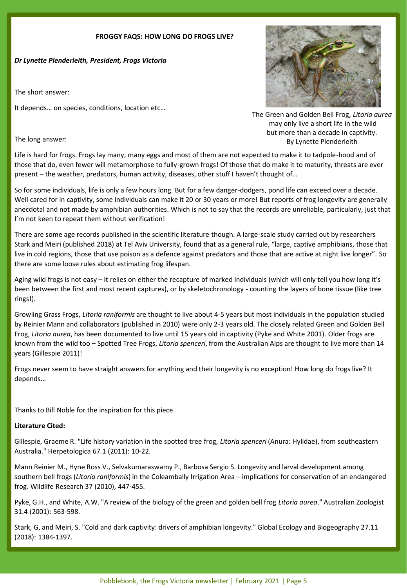## **FROGGY FAQS: HOW LONG DO FROGS LIVE?**

*Dr Lynette Plenderleith, President, Frogs Victoria*

The short answer:

It depends… on species, conditions, location etc…



The Green and Golden Bell Frog, *Litoria aurea* may only live a short life in the wild but more than a decade in captivity. By Lynette Plenderleith

The long answer:

Life is hard for frogs. Frogs lay many, many eggs and most of them are not expected to make it to tadpole-hood and of those that do, even fewer will metamorphose to fully-grown frogs! Of those that do make it to maturity, threats are ever present – the weather, predators, human activity, diseases, other stuff I haven't thought of…

So for some individuals, life is only a few hours long. But for a few danger-dodgers, pond life can exceed over a decade. Well cared for in captivity, some individuals can make it 20 or 30 years or more! But reports of frog longevity are generally anecdotal and not made by amphibian authorities. Which is not to say that the records are unreliable, particularly, just that I'm not keen to repeat them without verification!

There are some age records published in the scientific literature though. A large-scale study carried out by researchers Stark and Meiri (published 2018) at Tel Aviv University, found that as a general rule, "large, captive amphibians, those that live in cold regions, those that use poison as a defence against predators and those that are active at night live longer". So there are some loose rules about estimating frog lifespan.

Aging wild frogs is not easy – it relies on either the recapture of marked individuals (which will only tell you how long it's been between the first and most recent captures), or by skeletochronology - counting the layers of bone tissue (like tree rings!).

Growling Grass Frogs, *Litoria raniformis* are thought to live about 4-5 years but most individuals in the population studied by Reinier Mann and collaborators (published in 2010) were only 2-3 years old. The closely related Green and Golden Bell Frog, *Litoria aurea*, has been documented to live until 15 years old in captivity (Pyke and White 2001). Older frogs are known from the wild too – Spotted Tree Frogs, *Litoria spenceri*, from the Australian Alps are thought to live more than 14 years (Gillespie 2011)!

Frogs never seem to have straight answers for anything and their longevity is no exception! How long do frogs live? It depends…

Thanks to Bill Noble for the inspiration for this piece.

# **Literature Cited:**

Gillespie, Graeme R. "Life history variation in the spotted tree frog, *Litoria spenceri* (Anura: Hylidae), from southeastern Australia." Herpetologica 67.1 (2011): 10-22.

Mann Reinier M., Hyne Ross V., Selvakumaraswamy P., Barbosa Sergio S. Longevity and larval development among southern bell frogs (*Litoria raniformis*) in the Coleambally Irrigation Area – implications for conservation of an endangered frog. Wildlife Research 37 (2010), 447-455.

Pyke, G.H., and White, A.W. "A review of the biology of the green and golden bell frog *Litoria aurea*." Australian Zoologist 31.4 (2001): 563-598.

Stark, G, and Meiri, S. "Cold and dark captivity: drivers of amphibian longevity." Global Ecology and Biogeography 27.11 (2018): 1384-1397.